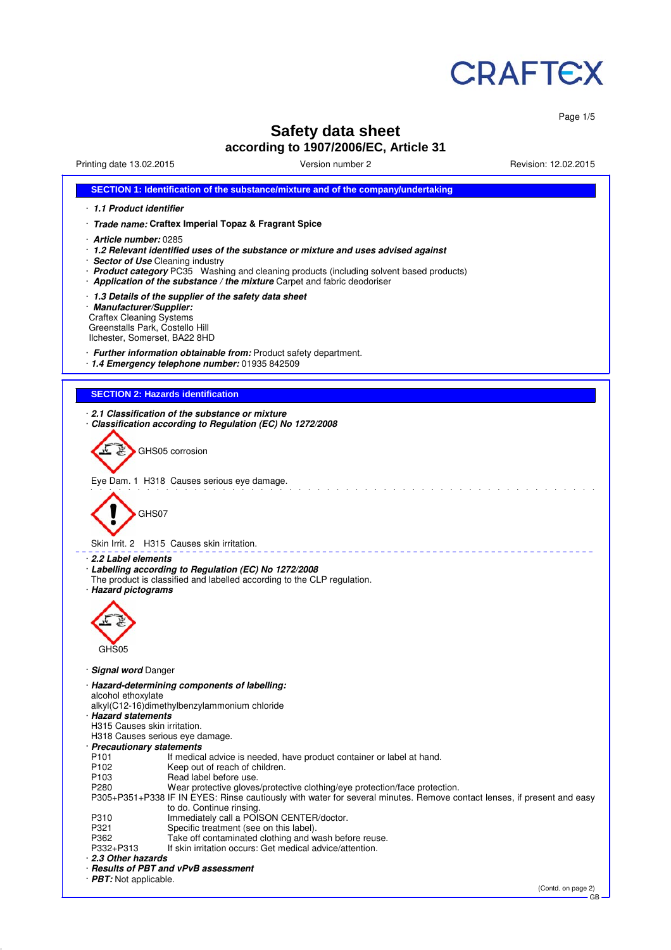

Page 1/5

# **Safety data sheet according to 1907/2006/EC, Article 31**

| Printing date 13.02.2015                                                                                                                                                                                                                    | Version number 2                                                                                                                                                                                                                                           | Revision: 12.02.2015 |
|---------------------------------------------------------------------------------------------------------------------------------------------------------------------------------------------------------------------------------------------|------------------------------------------------------------------------------------------------------------------------------------------------------------------------------------------------------------------------------------------------------------|----------------------|
|                                                                                                                                                                                                                                             | SECTION 1: Identification of the substance/mixture and of the company/undertaking                                                                                                                                                                          |                      |
| 1.1 Product identifier                                                                                                                                                                                                                      |                                                                                                                                                                                                                                                            |                      |
| · Trade name: Craftex Imperial Topaz & Fragrant Spice                                                                                                                                                                                       |                                                                                                                                                                                                                                                            |                      |
| Article number: 0285<br>· Sector of Use Cleaning industry                                                                                                                                                                                   | · 1.2 Relevant identified uses of the substance or mixture and uses advised against<br>· Product category PC35 Washing and cleaning products (including solvent based products)<br>Application of the substance / the mixture Carpet and fabric deodoriser |                      |
| 1.3 Details of the supplier of the safety data sheet<br>· Manufacturer/Supplier:<br><b>Craftex Cleaning Systems</b><br>Greenstalls Park, Costello Hill<br>Ilchester, Somerset, BA22 8HD                                                     |                                                                                                                                                                                                                                                            |                      |
| · Further information obtainable from: Product safety department.<br>· 1.4 Emergency telephone number: 01935 842509                                                                                                                         |                                                                                                                                                                                                                                                            |                      |
| <b>SECTION 2: Hazards identification</b>                                                                                                                                                                                                    |                                                                                                                                                                                                                                                            |                      |
| 2.1 Classification of the substance or mixture<br>Classification according to Regulation (EC) No 1272/2008                                                                                                                                  |                                                                                                                                                                                                                                                            |                      |
| GHS05 corrosion                                                                                                                                                                                                                             |                                                                                                                                                                                                                                                            |                      |
| Eye Dam. 1 H318 Causes serious eye damage.                                                                                                                                                                                                  |                                                                                                                                                                                                                                                            |                      |
| GHS07                                                                                                                                                                                                                                       |                                                                                                                                                                                                                                                            |                      |
| Skin Irrit. 2 H315 Causes skin irritation.                                                                                                                                                                                                  |                                                                                                                                                                                                                                                            |                      |
| ⋅ 2.2 Label elements<br>· Labelling according to Regulation (EC) No 1272/2008<br>· Hazard pictograms                                                                                                                                        | The product is classified and labelled according to the CLP regulation.                                                                                                                                                                                    |                      |
|                                                                                                                                                                                                                                             |                                                                                                                                                                                                                                                            |                      |
| GHS05                                                                                                                                                                                                                                       |                                                                                                                                                                                                                                                            |                      |
| <b>Signal word Danger</b>                                                                                                                                                                                                                   |                                                                                                                                                                                                                                                            |                      |
| · Hazard-determining components of labelling:<br>alcohol ethoxylate<br>alkyl(C12-16)dimethylbenzylammonium chloride<br>· Hazard statements<br>H315 Causes skin irritation.<br>H318 Causes serious eye damage.<br>· Precautionary statements |                                                                                                                                                                                                                                                            |                      |
| P101                                                                                                                                                                                                                                        | If medical advice is needed, have product container or label at hand.                                                                                                                                                                                      |                      |
| P <sub>102</sub><br>Keep out of reach of children.<br>P <sub>103</sub><br>Read label before use.<br>P280                                                                                                                                    | Wear protective gloves/protective clothing/eye protection/face protection.<br>P305+P351+P338 IF IN EYES: Rinse cautiously with water for several minutes. Remove contact lenses, if present and easy                                                       |                      |
| to do. Continue rinsing.<br>P310                                                                                                                                                                                                            | Immediately call a POISON CENTER/doctor.                                                                                                                                                                                                                   |                      |
| P321                                                                                                                                                                                                                                        | Specific treatment (see on this label).                                                                                                                                                                                                                    |                      |
| P362<br>P332+P313                                                                                                                                                                                                                           | Take off contaminated clothing and wash before reuse.<br>If skin irritation occurs: Get medical advice/attention.                                                                                                                                          |                      |
| 2.3 Other hazards                                                                                                                                                                                                                           |                                                                                                                                                                                                                                                            |                      |
| · Results of PBT and vPvB assessment<br>· PBT: Not applicable.                                                                                                                                                                              |                                                                                                                                                                                                                                                            |                      |
|                                                                                                                                                                                                                                             |                                                                                                                                                                                                                                                            |                      |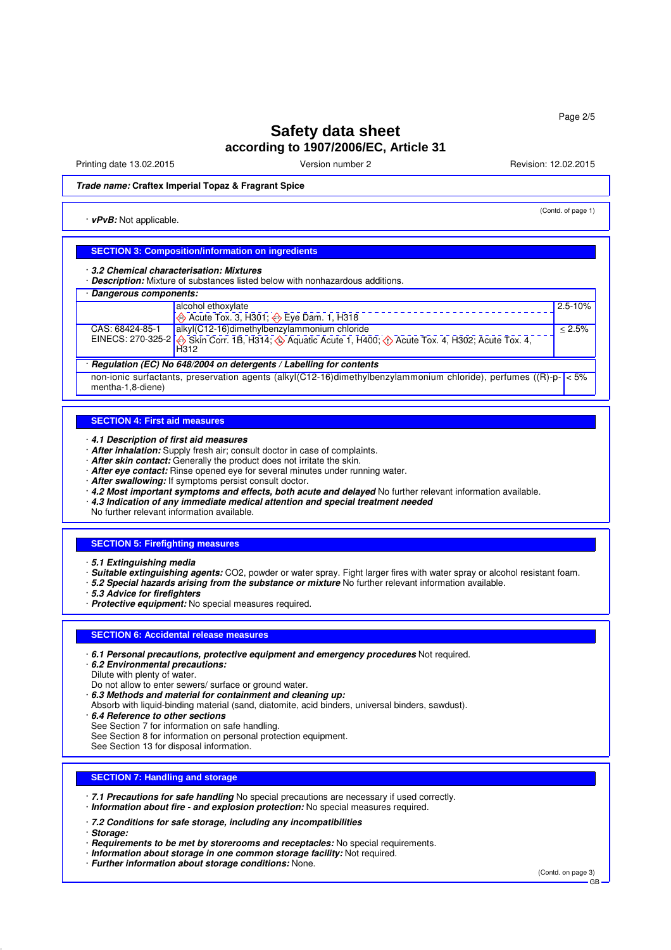Printing date 13.02.2015 Version number 2 Revision: 12.02.2015

(Contd. of page 1)

**Trade name: Craftex Imperial Topaz & Fragrant Spice**

· **vPvB:** Not applicable.

#### **SECTION 3: Composition/information on ingredients**

· **3.2 Chemical characterisation: Mixtures**

· **Description:** Mixture of substances listed below with nonhazardous additions.

| Dangerous components: |                                                                                                                  |             |
|-----------------------|------------------------------------------------------------------------------------------------------------------|-------------|
|                       | alcohol ethoxylate                                                                                               | $2.5 - 10%$ |
|                       | Acute Tox. 3, H301; $\bigotimes$ Eye Dam. 1, H318                                                                |             |
| CAS: 68424-85-1       | alkyl(C12-16)dimethylbenzylammonium chloride                                                                     | $< 2.5\%$   |
|                       | EINECS: 270-325-2 Skin Corr. 1B, H314, C Aquatic Acute 1, H400, C Acute Tox. 4, H302, Acute Tox. 4,<br>H312      |             |
|                       | Regulation (EC) No 648/2004 on detergents / Labelling for contents                                               |             |
| mentha-1,8-diene)     | non-ionic surfactants, preservation agents (alkyl(C12-16)dimethylbenzylammonium chloride), perfumes ((R)-p- < 5% |             |

#### **SECTION 4: First aid measures**

· **4.1 Description of first aid measures**

- · **After inhalation:** Supply fresh air; consult doctor in case of complaints.
- · **After skin contact:** Generally the product does not irritate the skin.
- · **After eye contact:** Rinse opened eye for several minutes under running water.
- · **After swallowing:** If symptoms persist consult doctor.
- · **4.2 Most important symptoms and effects, both acute and delayed** No further relevant information available.
- · **4.3 Indication of any immediate medical attention and special treatment needed**

No further relevant information available.

#### **SECTION 5: Firefighting measures**

· **5.1 Extinguishing media**

- · **Suitable extinguishing agents:** CO2, powder or water spray. Fight larger fires with water spray or alcohol resistant foam.
- · **5.2 Special hazards arising from the substance or mixture** No further relevant information available.

· **5.3 Advice for firefighters**

· **Protective equipment:** No special measures required.

#### **SECTION 6: Accidental release measures**

· **6.1 Personal precautions, protective equipment and emergency procedures** Not required.

· **6.2 Environmental precautions:**

Dilute with plenty of water.

Do not allow to enter sewers/ surface or ground water.

· **6.3 Methods and material for containment and cleaning up:**

Absorb with liquid-binding material (sand, diatomite, acid binders, universal binders, sawdust).

· **6.4 Reference to other sections**

- See Section 7 for information on safe handling.
- See Section 8 for information on personal protection equipment.

See Section 13 for disposal information.

#### **SECTION 7: Handling and storage**

· **7.1 Precautions for safe handling** No special precautions are necessary if used correctly. · **Information about fire - and explosion protection:** No special measures required.

· **7.2 Conditions for safe storage, including any incompatibilities**

- · **Storage:**
- · **Requirements to be met by storerooms and receptacles:** No special requirements.
- · **Information about storage in one common storage facility:** Not required.
- · **Further information about storage conditions:** None.

(Contd. on page 3)

GB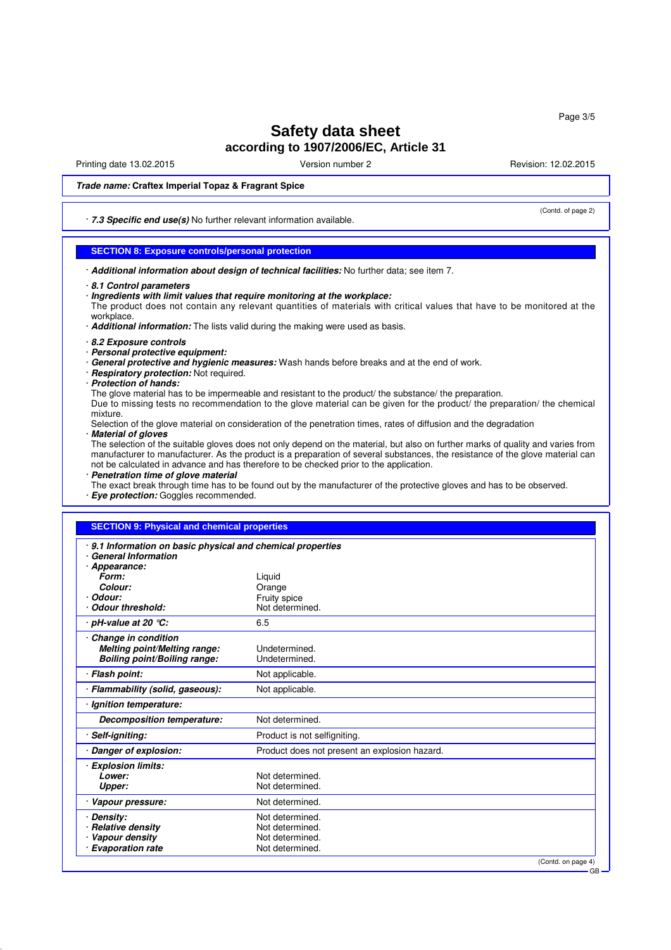Printing date 13.02.2015 Version number 2 Revision: 12.02.2015

(Contd. of page 2)

### **Trade name: Craftex Imperial Topaz & Fragrant Spice**

· **7.3 Specific end use(s)** No further relevant information available.

### **SECTION 8: Exposure controls/personal protection**

· **Additional information about design of technical facilities:** No further data; see item 7.

· **Ingredients with limit values that require monitoring at the workplace:**

The product does not contain any relevant quantities of materials with critical values that have to be monitored at the workplace.

- · **Additional information:** The lists valid during the making were used as basis.
- · **8.2 Exposure controls**
- · **Personal protective equipment:**
- · **General protective and hygienic measures:** Wash hands before breaks and at the end of work.
- · **Respiratory protection:** Not required.
- · **Protection of hands:**

The glove material has to be impermeable and resistant to the product/ the substance/ the preparation. Due to missing tests no recommendation to the glove material can be given for the product/ the preparation/ the chemical mixture.

Selection of the glove material on consideration of the penetration times, rates of diffusion and the degradation · **Material of gloves**

The selection of the suitable gloves does not only depend on the material, but also on further marks of quality and varies from manufacturer to manufacturer. As the product is a preparation of several substances, the resistance of the glove material can not be calculated in advance and has therefore to be checked prior to the application.

· **Penetration time of glove material**

The exact break through time has to be found out by the manufacturer of the protective gloves and has to be observed. · **Eye protection:** Goggles recommended.

#### **SECTION 9: Physical and chemical properties**

| 9.1 Information on basic physical and chemical properties<br><b>General Information</b> |                                               |
|-----------------------------------------------------------------------------------------|-----------------------------------------------|
| Appearance:                                                                             |                                               |
| Form:                                                                                   | Liquid                                        |
| Colour:                                                                                 | Orange                                        |
| Odour:                                                                                  | Fruity spice                                  |
| <b>Odour threshold:</b>                                                                 | Not determined.                               |
| · pH-value at 20 ℃:                                                                     | 6.5                                           |
| Change in condition                                                                     |                                               |
| <b>Melting point/Melting range:</b>                                                     | Undetermined.                                 |
| <b>Boiling point/Boiling range:</b>                                                     | Undetermined.                                 |
| · Flash point:                                                                          | Not applicable.                               |
| · Flammability (solid, gaseous):                                                        | Not applicable.                               |
| · Ignition temperature:                                                                 |                                               |
| Decomposition temperature:                                                              | Not determined.                               |
| Self-igniting:                                                                          | Product is not selfigniting.                  |
| Danger of explosion:                                                                    | Product does not present an explosion hazard. |
| · Explosion limits:                                                                     |                                               |
| Lower:                                                                                  | Not determined.                               |
| Upper:                                                                                  | Not determined.                               |
| Vapour pressure:                                                                        | Not determined.                               |
| <b>Density:</b>                                                                         | Not determined.                               |
| <b>Relative density</b>                                                                 | Not determined.                               |
| Vapour density                                                                          | Not determined.                               |
| <b>Evaporation rate</b>                                                                 | Not determined.                               |
|                                                                                         | (Contd. on page 4)                            |

GB

<sup>·</sup> **8.1 Control parameters**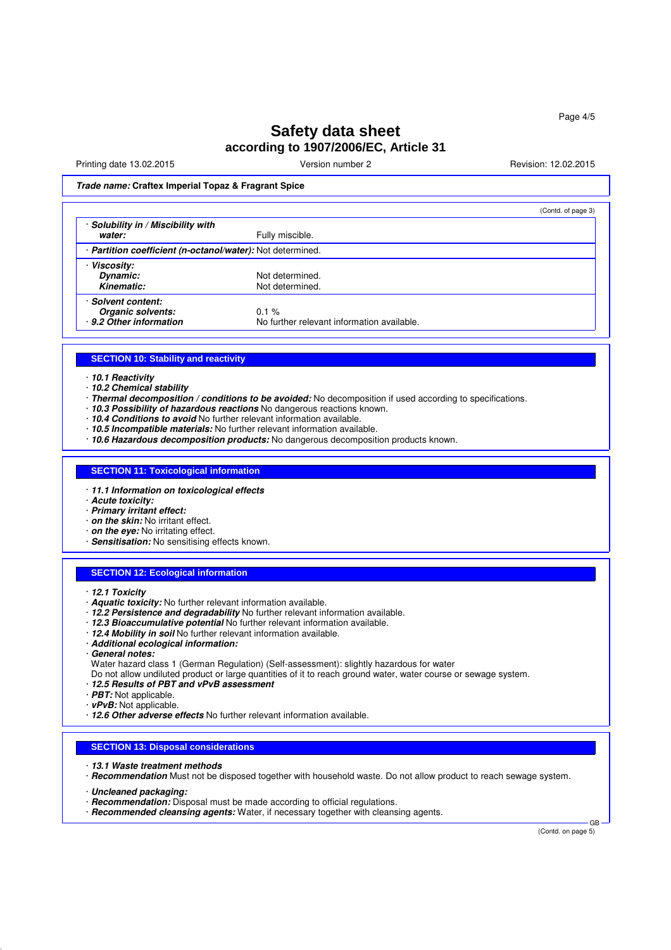Printing date 13.02.2015 Version number 2 Revision: 12.02.2015

**Trade name: Craftex Imperial Topaz & Fragrant Spice**

|                                                          |                                            | (Contd. of page 3) |
|----------------------------------------------------------|--------------------------------------------|--------------------|
| Solubility in / Miscibility with                         |                                            |                    |
| water:                                                   | Fully miscible.                            |                    |
| Partition coefficient (n-octanol/water): Not determined. |                                            |                    |
| <b>Viscosity:</b>                                        |                                            |                    |
| Dynamic:                                                 | Not determined.                            |                    |
| Kinematic:                                               | Not determined.                            |                    |
| Solvent content:                                         |                                            |                    |
| Organic solvents:                                        | $0.1 \%$                                   |                    |
| · 9.2 Other information                                  | No further relevant information available. |                    |

### **SECTION 10: Stability and reactivity**

· **10.1 Reactivity**

- · **10.2 Chemical stability**
- · **Thermal decomposition / conditions to be avoided:** No decomposition if used according to specifications.
- 10.3 Possibility of hazardous reactions No dangerous reactions known.
- · **10.4 Conditions to avoid** No further relevant information available.
- · **10.5 Incompatible materials:** No further relevant information available.
- · **10.6 Hazardous decomposition products:** No dangerous decomposition products known.

#### **SECTION 11: Toxicological information**

- · **11.1 Information on toxicological effects**
- · **Acute toxicity:**
- · **Primary irritant effect:**
- · **on the skin:** No irritant effect.
- · **on the eye:** No irritating effect.
- · **Sensitisation:** No sensitising effects known.

#### **SECTION 12: Ecological information**

- · **12.1 Toxicity**
- · **Aquatic toxicity:** No further relevant information available.
- · **12.2 Persistence and degradability** No further relevant information available.
- · **12.3 Bioaccumulative potential** No further relevant information available.
- · **12.4 Mobility in soil** No further relevant information available.
- · **Additional ecological information:**
- · **General notes:**
- Water hazard class 1 (German Regulation) (Self-assessment): slightly hazardous for water
- Do not allow undiluted product or large quantities of it to reach ground water, water course or sewage system.
- · **12.5 Results of PBT and vPvB assessment**
- · **PBT:** Not applicable.
- · **vPvB:** Not applicable.
- · **12.6 Other adverse effects** No further relevant information available.

#### **SECTION 13: Disposal considerations**

- · **13.1 Waste treatment methods**
- · **Recommendation** Must not be disposed together with household waste. Do not allow product to reach sewage system.
- · **Uncleaned packaging:**
- · **Recommendation:** Disposal must be made according to official regulations.
- · **Recommended cleansing agents:** Water, if necessary together with cleansing agents.

(Contd. on page 5)

GB